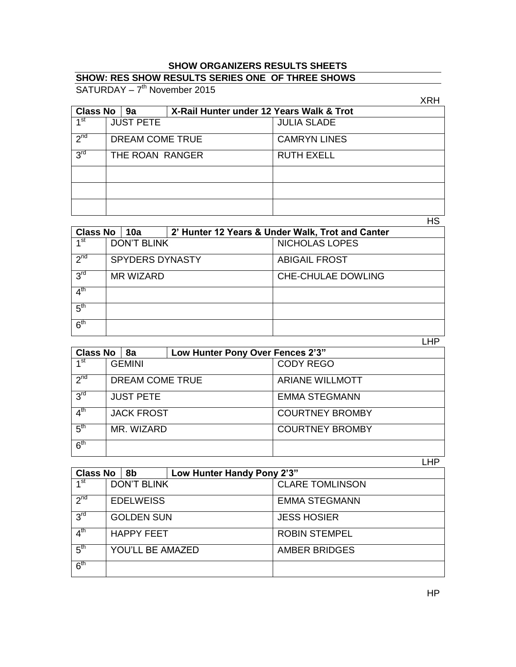## **SHOW ORGANIZERS RESULTS SHEETS**

## **SHOW: RES SHOW RESULTS SERIES ONE OF THREE SHOWS**

SATURDAY - 7<sup>th</sup> November 2015

|                       |                  |  |                                          | XRH                 |  |
|-----------------------|------------------|--|------------------------------------------|---------------------|--|
| <b>Class No</b><br>9a |                  |  | X-Rail Hunter under 12 Years Walk & Trot |                     |  |
| ⊿ st                  | <b>JUST PETE</b> |  |                                          | <b>JULIA SLADE</b>  |  |
| 2 <sub>nd</sub>       | DREAM COME TRUE  |  |                                          | <b>CAMRYN LINES</b> |  |
| 3 <sup>rd</sup>       | THE ROAN RANGER  |  |                                          | <b>RUTH EXELL</b>   |  |
|                       |                  |  |                                          |                     |  |
|                       |                  |  |                                          |                     |  |
|                       |                  |  |                                          |                     |  |

HS

| <b>Class No</b><br>10a |                        |  | 2' Hunter 12 Years & Under Walk, Trot and Canter |                           |           |
|------------------------|------------------------|--|--------------------------------------------------|---------------------------|-----------|
| 1 <sup>st</sup>        | <b>DON'T BLINK</b>     |  |                                                  | <b>NICHOLAS LOPES</b>     |           |
| 2 <sub>nd</sub>        | <b>SPYDERS DYNASTY</b> |  |                                                  | <b>ABIGAIL FROST</b>      |           |
| 3 <sup>rd</sup>        | <b>MR WIZARD</b>       |  |                                                  | <b>CHE-CHULAE DOWLING</b> |           |
| 4 <sup>th</sup>        |                        |  |                                                  |                           |           |
| 5 <sup>th</sup>        |                        |  |                                                  |                           |           |
| 6 <sup>th</sup>        |                        |  |                                                  |                           |           |
|                        |                        |  |                                                  |                           | <b>HP</b> |

|                                |                   |                                  | ---                    |
|--------------------------------|-------------------|----------------------------------|------------------------|
| <b>Class No</b>                | 8а                | Low Hunter Pony Over Fences 2'3" |                        |
| ⊿st                            | <b>GEMINI</b>     |                                  | <b>CODY REGO</b>       |
| 2 <sub>nd</sub>                | DREAM COME TRUE   |                                  | <b>ARIANE WILLMOTT</b> |
| 3 <sup>rd</sup>                | <b>JUST PETE</b>  |                                  | <b>EMMA STEGMANN</b>   |
| $\mathbf{\Lambda}^{\text{th}}$ | <b>JACK FROST</b> |                                  | <b>COURTNEY BROMBY</b> |
| 5 <sup>th</sup>                | MR. WIZARD        |                                  | <b>COURTNEY BROMBY</b> |
| 6 <sup>th</sup>                |                   |                                  |                        |

LHP

| <b>Class No</b> | 8b                 | Low Hunter Handy Pony 2'3" |                        |
|-----------------|--------------------|----------------------------|------------------------|
| 1 <sup>st</sup> | <b>DON'T BLINK</b> |                            | <b>CLARE TOMLINSON</b> |
| $2^{nd}$        | <b>EDELWEISS</b>   |                            | <b>EMMA STEGMANN</b>   |
| 3 <sup>rd</sup> | <b>GOLDEN SUN</b>  |                            | <b>JESS HOSIER</b>     |
| 4 <sup>th</sup> | <b>HAPPY FEET</b>  |                            | <b>ROBIN STEMPEL</b>   |
| 5 <sup>th</sup> | YOU'LL BE AMAZED   |                            | <b>AMBER BRIDGES</b>   |
| 6 <sup>th</sup> |                    |                            |                        |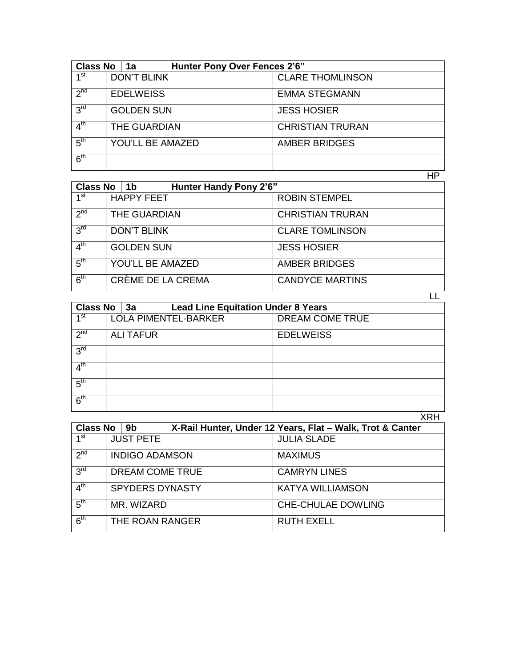| <b>Class No</b> |                    | <b>Hunter Pony Over Fences 2'6"</b><br>1a |  |                         |  |  |
|-----------------|--------------------|-------------------------------------------|--|-------------------------|--|--|
| 1 <sup>st</sup> | <b>DON'T BLINK</b> |                                           |  | <b>CLARE THOMLINSON</b> |  |  |
| $2^{nd}$        | <b>EDELWEISS</b>   |                                           |  | <b>EMMA STEGMANN</b>    |  |  |
| 3 <sup>rd</sup> | <b>GOLDEN SUN</b>  |                                           |  | <b>JESS HOSIER</b>      |  |  |
| 4 <sup>th</sup> | THE GUARDIAN       |                                           |  | <b>CHRISTIAN TRURAN</b> |  |  |
| 5 <sup>th</sup> |                    | <b>YOU'LL BE AMAZED</b>                   |  | <b>AMBER BRIDGES</b>    |  |  |
| 6 <sup>th</sup> |                    |                                           |  |                         |  |  |
|                 |                    |                                           |  | ΗP                      |  |  |

| Class No $ 1b$  |                    | <b>Hunter Handy Pony 2'6"</b> |                      |                         |  |
|-----------------|--------------------|-------------------------------|----------------------|-------------------------|--|
| 1 <sup>st</sup> |                    | <b>HAPPY FEET</b>             |                      | <b>ROBIN STEMPEL</b>    |  |
| 2 <sub>nd</sub> | THE GUARDIAN       |                               |                      | <b>CHRISTIAN TRURAN</b> |  |
| 3 <sup>rd</sup> | <b>DON'T BLINK</b> |                               |                      | <b>CLARE TOMLINSON</b>  |  |
| 4 <sup>th</sup> | <b>GOLDEN SUN</b>  |                               |                      | <b>JESS HOSIER</b>      |  |
| 5 <sup>th</sup> | YOU'LL BE AMAZED   |                               | <b>AMBER BRIDGES</b> |                         |  |
| 6 <sup>th</sup> |                    | CRÈME DE LA CREMA             |                      | <b>CANDYCE MARTINS</b>  |  |

| <b>Class No</b><br><b>Lead Line Equitation Under 8 Years</b><br>3a |                             |  |                 |                  |  |  |
|--------------------------------------------------------------------|-----------------------------|--|-----------------|------------------|--|--|
| ⊿st                                                                | <b>LOLA PIMENTEL-BARKER</b> |  | DREAM COME TRUE |                  |  |  |
| 2 <sup>nd</sup>                                                    | <b>ALI TAFUR</b>            |  |                 | <b>EDELWEISS</b> |  |  |
| 3 <sup>rd</sup>                                                    |                             |  |                 |                  |  |  |
| 4 <sup>th</sup>                                                    |                             |  |                 |                  |  |  |
| 5 <sup>th</sup>                                                    |                             |  |                 |                  |  |  |
| 6 <sup>th</sup>                                                    |                             |  |                 |                  |  |  |

XRH

| <b>Class No</b> | 9b                     | X-Rail Hunter, Under 12 Years, Flat - Walk, Trot & Canter |
|-----------------|------------------------|-----------------------------------------------------------|
| 1 <sup>st</sup> | <b>JUST PETE</b>       | <b>JULIA SLADE</b>                                        |
| $2^{nd}$        | <b>INDIGO ADAMSON</b>  | <b>MAXIMUS</b>                                            |
| 3 <sup>rd</sup> | DREAM COME TRUE        | <b>CAMRYN LINES</b>                                       |
| 4 <sup>th</sup> | <b>SPYDERS DYNASTY</b> | <b>KATYA WILLIAMSON</b>                                   |
| 5 <sup>th</sup> | MR. WIZARD             | <b>CHE-CHULAE DOWLING</b>                                 |
| 6 <sup>th</sup> | THE ROAN RANGER        | <b>RUTH EXELL</b>                                         |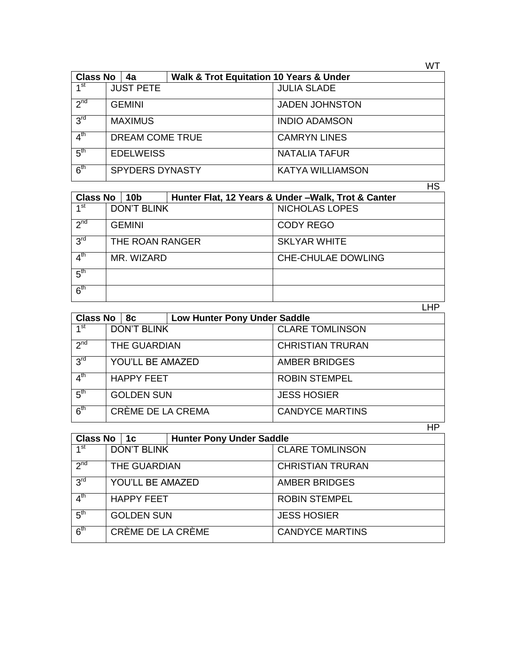| <b>Class No</b> |                  | <b>Walk &amp; Trot Equitation 10 Years &amp; Under</b><br>4a |  |                         |
|-----------------|------------------|--------------------------------------------------------------|--|-------------------------|
| ⊿st             |                  | <b>JUST PETE</b>                                             |  | <b>JULIA SLADE</b>      |
| 2 <sub>nd</sub> | <b>GEMINI</b>    |                                                              |  | <b>JADEN JOHNSTON</b>   |
| 3 <sup>rd</sup> | <b>MAXIMUS</b>   |                                                              |  | <b>INDIO ADAMSON</b>    |
| 4 <sup>th</sup> | DREAM COME TRUE  |                                                              |  | <b>CAMRYN LINES</b>     |
| 5 <sup>th</sup> | <b>EDELWEISS</b> |                                                              |  | <b>NATALIA TAFUR</b>    |
| 6 <sup>th</sup> |                  | <b>SPYDERS DYNASTY</b>                                       |  | <b>KATYA WILLIAMSON</b> |

HS

| <b>Class No</b><br> 10b |                    |  | Hunter Flat, 12 Years & Under -Walk, Trot & Canter |                       |  |  |
|-------------------------|--------------------|--|----------------------------------------------------|-----------------------|--|--|
| 1 <sup>st</sup>         | <b>DON'T BLINK</b> |  |                                                    | <b>NICHOLAS LOPES</b> |  |  |
| 2 <sub>nd</sub>         | <b>GEMINI</b>      |  |                                                    | <b>CODY REGO</b>      |  |  |
| 3 <sup>rd</sup>         | THE ROAN RANGER    |  |                                                    | <b>SKLYAR WHITE</b>   |  |  |
| 4 <sup>th</sup>         | MR. WIZARD         |  |                                                    | CHE-CHULAE DOWLING    |  |  |
| $5^{\text{th}}$         |                    |  |                                                    |                       |  |  |
| 6 <sup>th</sup>         |                    |  |                                                    |                       |  |  |
|                         |                    |  |                                                    | . HP                  |  |  |

| <b>Class No</b> |                         | 8с                 | <b>Low Hunter Pony Under Saddle</b> |                         |
|-----------------|-------------------------|--------------------|-------------------------------------|-------------------------|
| ⊿st             |                         | <b>DON'T BLINK</b> |                                     | <b>CLARE TOMLINSON</b>  |
| $2^{nd}$        |                         | THE GUARDIAN       |                                     | <b>CHRISTIAN TRURAN</b> |
| 3 <sup>rd</sup> | <b>YOU'LL BE AMAZED</b> |                    |                                     | <b>AMBER BRIDGES</b>    |
| 4 <sup>th</sup> | <b>HAPPY FEET</b>       |                    |                                     | <b>ROBIN STEMPEL</b>    |
| 5 <sup>th</sup> |                         | <b>GOLDEN SUN</b>  |                                     | <b>JESS HOSIER</b>      |
| 6 <sup>th</sup> |                         | CRÈME DE LA CREMA  |                                     | <b>CANDYCE MARTINS</b>  |

|                       |                     |                   |                                 | <b>HP</b>               |
|-----------------------|---------------------|-------------------|---------------------------------|-------------------------|
| <b>Class No</b><br>1с |                     |                   | <b>Hunter Pony Under Saddle</b> |                         |
| 1 <sup>st</sup>       | <b>DON'T BLINK</b>  |                   |                                 | <b>CLARE TOMLINSON</b>  |
| 2 <sub>nd</sub>       | <b>THE GUARDIAN</b> |                   |                                 | <b>CHRISTIAN TRURAN</b> |
| 3 <sup>rd</sup>       | YOU'LL BE AMAZED    |                   |                                 | <b>AMBER BRIDGES</b>    |
| 4 <sup>th</sup>       | <b>HAPPY FEET</b>   |                   |                                 | <b>ROBIN STEMPEL</b>    |
| 5 <sup>th</sup>       | <b>GOLDEN SUN</b>   |                   |                                 | <b>JESS HOSIER</b>      |
| 6 <sup>th</sup>       |                     | CRÈME DE LA CRÈME |                                 | <b>CANDYCE MARTINS</b>  |

WT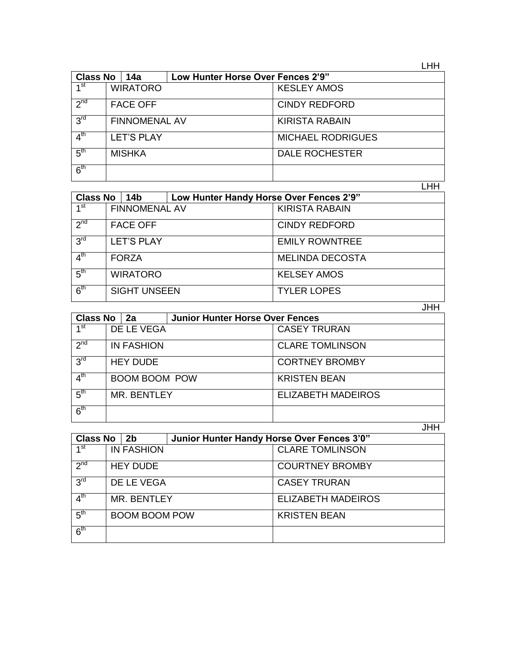LHH

| <b>Class No</b> | 14a                  | Low Hunter Horse Over Fences 2'9" |                          |
|-----------------|----------------------|-----------------------------------|--------------------------|
| 1 <sup>st</sup> | <b>WIRATORO</b>      |                                   | <b>KESLEY AMOS</b>       |
| 2 <sub>nd</sub> | <b>FACE OFF</b>      |                                   | <b>CINDY REDFORD</b>     |
| 3 <sup>rd</sup> | <b>FINNOMENAL AV</b> |                                   | <b>KIRISTA RABAIN</b>    |
| 4 <sup>th</sup> | <b>LET'S PLAY</b>    |                                   | <b>MICHAEL RODRIGUES</b> |
| 5 <sup>th</sup> | <b>MISHKA</b>        |                                   | <b>DALE ROCHESTER</b>    |
| 6 <sup>th</sup> |                      |                                   |                          |

LHH

| <b>Class No</b> | 14b                  | Low Hunter Handy Horse Over Fences 2'9" |                        |
|-----------------|----------------------|-----------------------------------------|------------------------|
| ⊿st             | <b>FINNOMENAL AV</b> |                                         | <b>KIRISTA RABAIN</b>  |
| 2 <sub>nd</sub> | <b>FACE OFF</b>      |                                         | <b>CINDY REDFORD</b>   |
| 3 <sup>rd</sup> | <b>LET'S PLAY</b>    |                                         | <b>EMILY ROWNTREE</b>  |
| 4 <sup>th</sup> | <b>FORZA</b>         |                                         | <b>MELINDA DECOSTA</b> |
| 5 <sup>th</sup> | <b>WIRATORO</b>      |                                         | <b>KELSEY AMOS</b>     |
| 6 <sup>th</sup> | <b>SIGHT UNSEEN</b>  |                                         | <b>TYLER LOPES</b>     |

JHH

| <b>Class No</b>          | 2a                   | <b>Junior Hunter Horse Over Fences</b> |                           |
|--------------------------|----------------------|----------------------------------------|---------------------------|
| 1 <sup>st</sup>          | DE LE VEGA           |                                        | <b>CASEY TRURAN</b>       |
| $2^{nd}$                 | <b>IN FASHION</b>    |                                        | <b>CLARE TOMLINSON</b>    |
| 3 <sup>rd</sup>          | <b>HEY DUDE</b>      |                                        | <b>CORTNEY BROMBY</b>     |
| $\mathbf{1}^{\text{th}}$ | <b>BOOM BOOM POW</b> |                                        | <b>KRISTEN BEAN</b>       |
| 5 <sup>th</sup>          | <b>MR. BENTLEY</b>   |                                        | <b>ELIZABETH MADEIROS</b> |
| 6 <sup>th</sup>          |                      |                                        |                           |

|                                   |                      |  |                                            | <b>JHH</b>                |  |  |
|-----------------------------------|----------------------|--|--------------------------------------------|---------------------------|--|--|
| <b>Class No</b><br>2 <sub>b</sub> |                      |  | Junior Hunter Handy Horse Over Fences 3'0" |                           |  |  |
| ⊿ st                              | <b>IN FASHION</b>    |  |                                            | <b>CLARE TOMLINSON</b>    |  |  |
| 2 <sub>nd</sub>                   | <b>HEY DUDE</b>      |  |                                            | <b>COURTNEY BROMBY</b>    |  |  |
| 3 <sup>rd</sup>                   | DE LE VEGA           |  |                                            | <b>CASEY TRURAN</b>       |  |  |
| 4 <sup>th</sup>                   | MR. BENTLEY          |  |                                            | <b>ELIZABETH MADEIROS</b> |  |  |
| 5 <sup>th</sup>                   | <b>BOOM BOOM POW</b> |  |                                            | <b>KRISTEN BEAN</b>       |  |  |
| 6 <sup>th</sup>                   |                      |  |                                            |                           |  |  |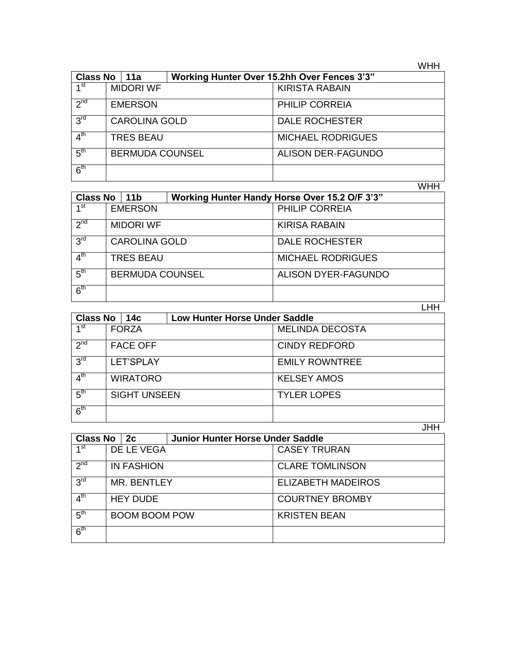WHH

| <b>Class No</b><br>  11a |                        |  | Working Hunter Over 15.2hh Over Fences 3'3" |                           |
|--------------------------|------------------------|--|---------------------------------------------|---------------------------|
| 1 <sup>st</sup>          | <b>MIDORI WF</b>       |  |                                             | <b>KIRISTA RABAIN</b>     |
| $2^{nd}$                 | <b>EMERSON</b>         |  |                                             | <b>PHILIP CORREIA</b>     |
| 3 <sup>rd</sup>          | <b>CAROLINA GOLD</b>   |  |                                             | <b>DALE ROCHESTER</b>     |
| $4^{\text{th}}$          | <b>TRES BEAU</b>       |  |                                             | <b>MICHAEL RODRIGUES</b>  |
| 5 <sup>th</sup>          | <b>BERMUDA COUNSEL</b> |  |                                             | <b>ALISON DER-FAGUNDO</b> |
| 6 <sup>th</sup>          |                        |  |                                             |                           |

WHH

| <b>Class No</b><br>11 <sub>b</sub> |                        |  | Working Hunter Handy Horse Over 15.2 O/F 3'3" |                          |  |
|------------------------------------|------------------------|--|-----------------------------------------------|--------------------------|--|
| ⊿st                                | <b>EMERSON</b>         |  |                                               | PHILIP CORREIA           |  |
| 2 <sub>nd</sub>                    | <b>MIDORI WF</b>       |  |                                               | <b>KIRISA RABAIN</b>     |  |
| 3 <sup>rd</sup>                    | <b>CAROLINA GOLD</b>   |  |                                               | <b>DALE ROCHESTER</b>    |  |
| $4^{\text{th}}$                    | <b>TRES BEAU</b>       |  |                                               | <b>MICHAEL RODRIGUES</b> |  |
| 5 <sup>th</sup>                    | <b>BERMUDA COUNSEL</b> |  |                                               | ALISON DYER-FAGUNDO      |  |
| 6 <sup>th</sup>                    |                        |  |                                               |                          |  |
|                                    |                        |  |                                               |                          |  |

| <b>Class No</b> | 14с                 | <b>Low Hunter Horse Under Saddle</b> |                        |  |
|-----------------|---------------------|--------------------------------------|------------------------|--|
| ⊿st             | <b>FORZA</b>        |                                      | <b>MELINDA DECOSTA</b> |  |
| 2 <sup>nd</sup> | <b>FACE OFF</b>     |                                      | <b>CINDY REDFORD</b>   |  |
| 3 <sup>rd</sup> | <b>LET'SPLAY</b>    |                                      | <b>EMILY ROWNTREE</b>  |  |
| 4 <sup>th</sup> | <b>WIRATORO</b>     |                                      | <b>KELSEY AMOS</b>     |  |
| 5 <sup>th</sup> | <b>SIGHT UNSEEN</b> |                                      | <b>TYLER LOPES</b>     |  |
| 6 <sup>th</sup> |                     |                                      |                        |  |
|                 |                     |                                      | JHH                    |  |

|                 |                      |                   |                                         | .                         |
|-----------------|----------------------|-------------------|-----------------------------------------|---------------------------|
| <b>Class No</b> |                      | 2c                | <b>Junior Hunter Horse Under Saddle</b> |                           |
| ⊿st             |                      | DE LE VEGA        |                                         | <b>CASEY TRURAN</b>       |
| 2 <sub>nd</sub> |                      | <b>IN FASHION</b> |                                         | <b>CLARE TOMLINSON</b>    |
| 3 <sup>rd</sup> |                      | MR. BENTLEY       |                                         | <b>ELIZABETH MADEIROS</b> |
| 4 <sup>th</sup> | <b>HEY DUDE</b>      |                   |                                         | <b>COURTNEY BROMBY</b>    |
| 5 <sup>th</sup> | <b>BOOM BOOM POW</b> |                   |                                         | <b>KRISTEN BEAN</b>       |
| 6 <sup>th</sup> |                      |                   |                                         |                           |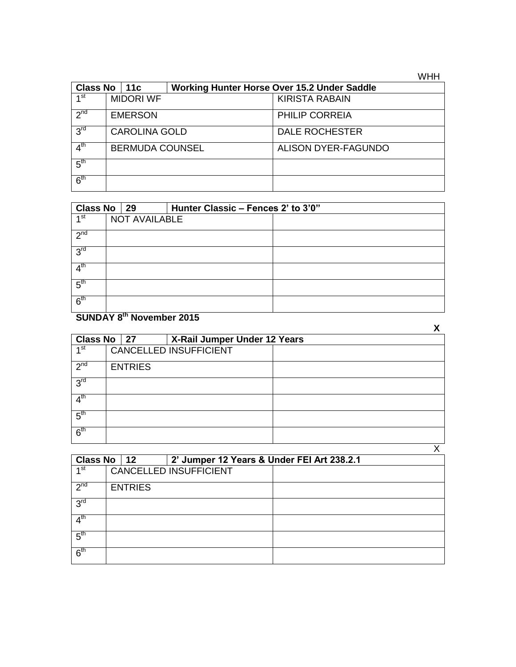**WHH** 

| Class No $ 11c$ |                        |  | Working Hunter Horse Over 15.2 Under Saddle |                       |  |
|-----------------|------------------------|--|---------------------------------------------|-----------------------|--|
| ⊿ st            | <b>MIDORI WF</b>       |  |                                             | <b>KIRISTA RABAIN</b> |  |
| 2 <sup>nd</sup> | <b>EMERSON</b>         |  |                                             | PHILIP CORREIA        |  |
| 3 <sup>rd</sup> | <b>CAROLINA GOLD</b>   |  |                                             | <b>DALE ROCHESTER</b> |  |
| 4 <sup>th</sup> | <b>BERMUDA COUNSEL</b> |  |                                             | ALISON DYER-FAGUNDO   |  |
| 5 <sup>th</sup> |                        |  |                                             |                       |  |
| 6 <sup>th</sup> |                        |  |                                             |                       |  |

| Class No 29       |                      |  | Hunter Classic - Fences 2' to 3'0" |  |
|-------------------|----------------------|--|------------------------------------|--|
| $\overline{4}$ st | <b>NOT AVAILABLE</b> |  |                                    |  |
| 2 <sup>nd</sup>   |                      |  |                                    |  |
| 3 <sup>rd</sup>   |                      |  |                                    |  |
| 4 <sup>th</sup>   |                      |  |                                    |  |
| $5^{\text{th}}$   |                      |  |                                    |  |
| 6 <sup>th</sup>   |                      |  |                                    |  |

## **SUNDAY 8 th November 2015**

|                 |                |                 |                               |  | Χ |
|-----------------|----------------|-----------------|-------------------------------|--|---|
| <b>Class No</b> |                | $\overline{27}$ | X-Rail Jumper Under 12 Years  |  |   |
| $\mathbf{A}$ st |                |                 | <b>CANCELLED INSUFFICIENT</b> |  |   |
| 2 <sup>nd</sup> | <b>ENTRIES</b> |                 |                               |  |   |
| 3 <sup>rd</sup> |                |                 |                               |  |   |
| 4 <sup>th</sup> |                |                 |                               |  |   |
| 5 <sup>th</sup> |                |                 |                               |  |   |
| 6 <sup>th</sup> |                |                 |                               |  |   |
|                 |                |                 |                               |  |   |

| Class No $ 12 $ |                               |  | 2' Jumper 12 Years & Under FEI Art 238.2.1 |  |  |  |
|-----------------|-------------------------------|--|--------------------------------------------|--|--|--|
| 1 <sup>st</sup> | <b>CANCELLED INSUFFICIENT</b> |  |                                            |  |  |  |
| 2 <sub>nd</sub> | <b>ENTRIES</b>                |  |                                            |  |  |  |
| 3 <sup>rd</sup> |                               |  |                                            |  |  |  |
| 4 <sup>th</sup> |                               |  |                                            |  |  |  |
| 5 <sup>th</sup> |                               |  |                                            |  |  |  |
| 6 <sup>th</sup> |                               |  |                                            |  |  |  |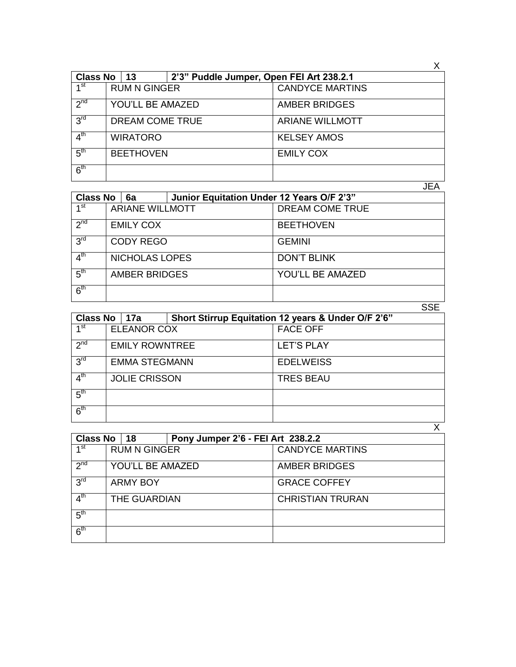| <b>Class No</b> | 13                  | 2'3" Puddle Jumper, Open FEI Art 238.2.1 |                        |
|-----------------|---------------------|------------------------------------------|------------------------|
| 1 <sup>st</sup> | <b>RUM N GINGER</b> |                                          | <b>CANDYCE MARTINS</b> |
| 2 <sup>nd</sup> | YOU'LL BE AMAZED    |                                          | <b>AMBER BRIDGES</b>   |
| 3 <sup>rd</sup> | DREAM COME TRUE     |                                          | <b>ARIANE WILLMOTT</b> |
| 4 <sup>th</sup> | <b>WIRATORO</b>     |                                          | <b>KELSEY AMOS</b>     |
| 5 <sup>th</sup> | <b>BEETHOVEN</b>    |                                          | <b>EMILY COX</b>       |
| 6 <sup>th</sup> |                     |                                          |                        |

| <b>Class No</b>  | 6a                     | Junior Equitation Under 12 Years O/F 2'3" |                         |
|------------------|------------------------|-------------------------------------------|-------------------------|
| 1 <sub>st</sub>  | <b>ARIANE WILLMOTT</b> |                                           | <b>DREAM COME TRUE</b>  |
| 2 <sub>nd</sub>  | <b>EMILY COX</b>       |                                           | <b>BEETHOVEN</b>        |
| 3 <sup>rd</sup>  | <b>CODY REGO</b>       |                                           | <b>GEMINI</b>           |
| 4 <sup>th</sup>  | NICHOLAS LOPES         |                                           | <b>DON'T BLINK</b>      |
| $-5^{\text{th}}$ | <b>AMBER BRIDGES</b>   |                                           | <b>YOU'LL BE AMAZED</b> |
| 6 <sup>th</sup>  |                        |                                           |                         |
|                  |                        |                                           | SSE                     |

| <b>Class No</b><br>  17a |                       |  |  | Short Stirrup Equitation 12 years & Under O/F 2'6" |
|--------------------------|-----------------------|--|--|----------------------------------------------------|
| ⊿ st                     | ELEANOR COX           |  |  | <b>FACE OFF</b>                                    |
| 2 <sub>nd</sub>          | <b>EMILY ROWNTREE</b> |  |  | <b>LET'S PLAY</b>                                  |
| 3 <sup>rd</sup>          | <b>EMMA STEGMANN</b>  |  |  | <b>EDELWEISS</b>                                   |
| 4 <sup>th</sup>          | <b>JOLIE CRISSON</b>  |  |  | <b>TRES BEAU</b>                                   |
| 5 <sup>th</sup>          |                       |  |  |                                                    |
| 6 <sup>th</sup>          |                       |  |  |                                                    |
|                          |                       |  |  |                                                    |

| <b>Class No</b><br>∣ 18    |                     |  | Pony Jumper 2'6 - FEI Art 238.2.2 |                         |
|----------------------------|---------------------|--|-----------------------------------|-------------------------|
| ⊿st                        | <b>RUM N GINGER</b> |  |                                   | <b>CANDYCE MARTINS</b>  |
| $2^{nd}$                   | YOU'LL BE AMAZED    |  |                                   | <b>AMBER BRIDGES</b>    |
| 3 <sup>rd</sup>            | <b>ARMY BOY</b>     |  |                                   | <b>GRACE COFFEY</b>     |
| $4^{\overline{\text{th}}}$ | THE GUARDIAN        |  |                                   | <b>CHRISTIAN TRURAN</b> |
| 5 <sup>th</sup>            |                     |  |                                   |                         |
| 6 <sup>th</sup>            |                     |  |                                   |                         |

 $\overline{X}$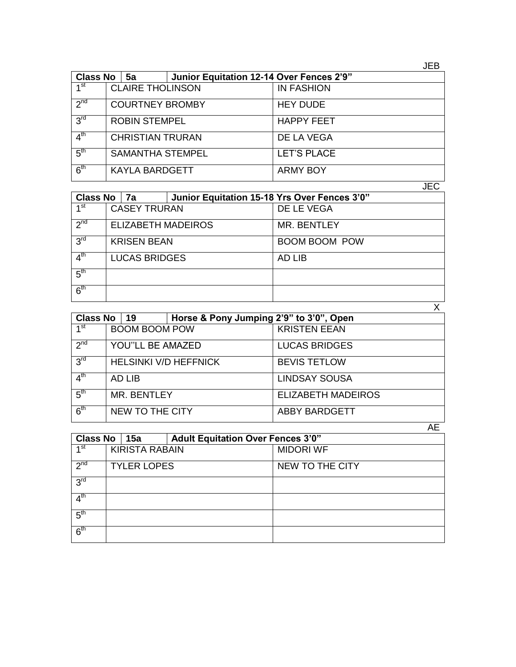| ۰, | ۰, |
|----|----|
|----|----|

| <b>Class No</b> | 5a                      | Junior Equitation 12-14 Over Fences 2'9" |                    |
|-----------------|-------------------------|------------------------------------------|--------------------|
| 1 <sup>st</sup> | <b>CLAIRE THOLINSON</b> |                                          | <b>IN FASHION</b>  |
| $2^{nd}$        | <b>COURTNEY BROMBY</b>  |                                          | <b>HEY DUDE</b>    |
| 3 <sup>rd</sup> | <b>ROBIN STEMPEL</b>    |                                          | <b>HAPPY FEET</b>  |
| 4 <sup>th</sup> | <b>CHRISTIAN TRURAN</b> |                                          | DE LA VEGA         |
| 5 <sup>th</sup> | <b>SAMANTHA STEMPEL</b> |                                          | <b>LET'S PLACE</b> |
| 6 <sup>th</sup> | <b>KAYLA BARDGETT</b>   |                                          | <b>ARMY BOY</b>    |

JEC

| Class No   7a   |                           |  | Junior Equitation 15-18 Yrs Over Fences 3'0" |                      |
|-----------------|---------------------------|--|----------------------------------------------|----------------------|
| 1 <sup>st</sup> | <b>CASEY TRURAN</b>       |  |                                              | DE LE VEGA           |
| 2 <sub>nd</sub> | <b>ELIZABETH MADEIROS</b> |  |                                              | <b>MR. BENTLEY</b>   |
| 3 <sup>rd</sup> | <b>KRISEN BEAN</b>        |  |                                              | <b>BOOM BOOM POW</b> |
| 4 <sup>th</sup> | <b>LUCAS BRIDGES</b>      |  |                                              | AD LIB               |
| 5 <sup>th</sup> |                           |  |                                              |                      |
| 6 <sup>th</sup> |                           |  |                                              |                      |
|                 |                           |  |                                              |                      |

|                 | <b>Class No</b><br> 19       |                 | Horse & Pony Jumping 2'9" to 3'0", Open |                      |                           |
|-----------------|------------------------------|-----------------|-----------------------------------------|----------------------|---------------------------|
| $1^{\rm st}$    | <b>BOOM BOOM POW</b>         |                 |                                         | <b>KRISTEN EEAN</b>  |                           |
| 2 <sup>nd</sup> | <b>YOU"LL BE AMAZED</b>      |                 |                                         |                      | <b>LUCAS BRIDGES</b>      |
| 3 <sup>rd</sup> | <b>HELSINKI V/D HEFFNICK</b> |                 |                                         |                      | <b>BEVIS TETLOW</b>       |
| 4 <sup>th</sup> | AD LIB                       |                 |                                         | <b>LINDSAY SOUSA</b> |                           |
| 5 <sup>th</sup> | MR. BENTLEY                  |                 |                                         |                      | <b>ELIZABETH MADEIROS</b> |
| 6 <sup>th</sup> |                              | NEW TO THE CITY |                                         |                      | <b>ABBY BARDGETT</b>      |

|                 |                       |  |                                          | AE               |
|-----------------|-----------------------|--|------------------------------------------|------------------|
| Class No   15a  |                       |  | <b>Adult Equitation Over Fences 3'0"</b> |                  |
| 1 <sup>st</sup> | <b>KIRISTA RABAIN</b> |  |                                          | <b>MIDORI WF</b> |
| 2 <sup>nd</sup> | <b>TYLER LOPES</b>    |  |                                          | NEW TO THE CITY  |
| 3 <sup>rd</sup> |                       |  |                                          |                  |
| $4^{\text{th}}$ |                       |  |                                          |                  |
| 5 <sup>th</sup> |                       |  |                                          |                  |
| 6 <sup>th</sup> |                       |  |                                          |                  |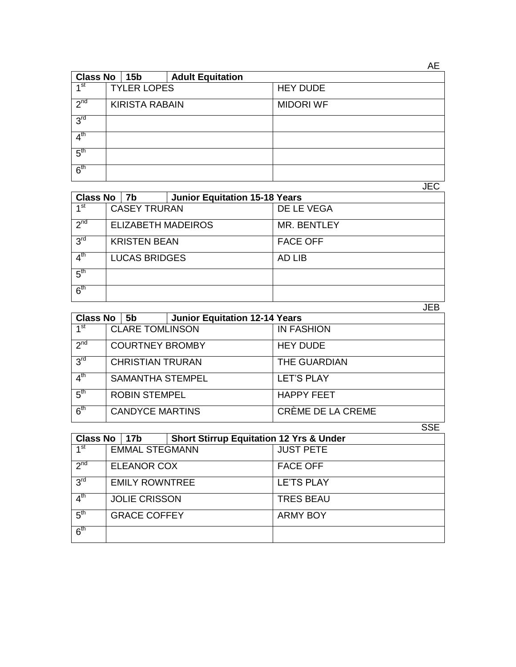| <b>Class No</b>    |                       | 15 <sub>b</sub> | <b>Adult Equitation</b> |                  |
|--------------------|-----------------------|-----------------|-------------------------|------------------|
| $\triangleleft$ st | <b>TYLER LOPES</b>    |                 |                         | <b>HEY DUDE</b>  |
| 2 <sub>nd</sub>    | <b>KIRISTA RABAIN</b> |                 |                         | <b>MIDORI WF</b> |
| 3 <sup>rd</sup>    |                       |                 |                         |                  |
| 4 <sup>th</sup>    |                       |                 |                         |                  |
| 5 <sup>th</sup>    |                       |                 |                         |                  |
| 6 <sup>th</sup>    |                       |                 |                         |                  |

JEC

| <b>Class No</b> |                           | <b>Junior Equitation 15-18 Years</b><br>7b |  |                    |
|-----------------|---------------------------|--------------------------------------------|--|--------------------|
| ⊿st             | <b>CASEY TRURAN</b>       |                                            |  | DE LE VEGA         |
| 2 <sub>nd</sub> | <b>ELIZABETH MADEIROS</b> |                                            |  | <b>MR. BENTLEY</b> |
| 3 <sup>rd</sup> | <b>KRISTEN BEAN</b>       |                                            |  | <b>FACE OFF</b>    |
| 4 <sup>th</sup> | <b>LUCAS BRIDGES</b>      |                                            |  | AD LIB             |
| 5 <sup>th</sup> |                           |                                            |  |                    |
| 6 <sup>th</sup> |                           |                                            |  |                    |
|                 |                           |                                            |  | JEB                |

| <b>Class No</b><br>5b |                         |                        | <b>Junior Equitation 12-14 Years</b> |                   |
|-----------------------|-------------------------|------------------------|--------------------------------------|-------------------|
| ⊿st                   | <b>CLARE TOMLINSON</b>  |                        |                                      | <b>IN FASHION</b> |
| 2 <sup>nd</sup>       |                         | <b>COURTNEY BROMBY</b> |                                      | <b>HEY DUDE</b>   |
| 3 <sup>rd</sup>       | <b>CHRISTIAN TRURAN</b> |                        |                                      | THE GUARDIAN      |
| $4^{\text{th}}$       | <b>SAMANTHA STEMPEL</b> |                        |                                      | <b>LET'S PLAY</b> |
| 5 <sup>th</sup>       |                         | <b>ROBIN STEMPEL</b>   |                                      | <b>HAPPY FEET</b> |
| 6 <sup>th</sup>       | <b>CANDYCE MARTINS</b>  |                        |                                      | CRÈME DE LA CREME |
|                       |                         |                        |                                      |                   |

|                            |                       |                                                    | ◡◡∟               |
|----------------------------|-----------------------|----------------------------------------------------|-------------------|
| <b>Class No</b>            | 17b                   | <b>Short Stirrup Equitation 12 Yrs &amp; Under</b> |                   |
| $1^{\overline{\text{st}}}$ | <b>EMMAL STEGMANN</b> |                                                    | <b>JUST PETE</b>  |
| $2^{nd}$                   | <b>ELEANOR COX</b>    |                                                    | <b>FACE OFF</b>   |
| 3 <sup>rd</sup>            | <b>EMILY ROWNTREE</b> |                                                    | <b>LE'TS PLAY</b> |
| 4 <sup>th</sup>            | <b>JOLIE CRISSON</b>  |                                                    | <b>TRES BEAU</b>  |
| 5 <sup>th</sup>            | <b>GRACE COFFEY</b>   |                                                    | <b>ARMY BOY</b>   |
| 6 <sup>th</sup>            |                       |                                                    |                   |

AE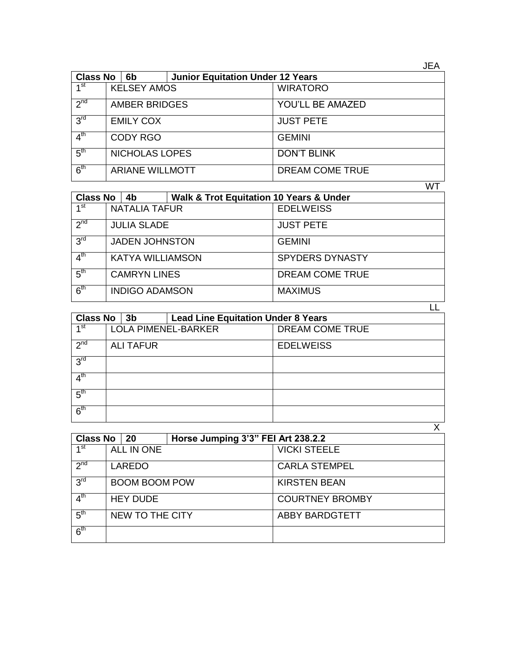| <b>Class No</b> | 6b                     | <b>Junior Equitation Under 12 Years</b> |                    |
|-----------------|------------------------|-----------------------------------------|--------------------|
| 1 <sup>st</sup> | <b>KELSEY AMOS</b>     |                                         | <b>WIRATORO</b>    |
| $2^{nd}$        | <b>AMBER BRIDGES</b>   |                                         | YOU'LL BE AMAZED   |
| 3 <sup>rd</sup> | <b>EMILY COX</b>       |                                         | <b>JUST PETE</b>   |
| 4 <sup>th</sup> | <b>CODY RGO</b>        |                                         | <b>GEMINI</b>      |
| 5 <sup>th</sup> | <b>NICHOLAS LOPES</b>  |                                         | <b>DON'T BLINK</b> |
| 6 <sup>th</sup> | <b>ARIANE WILLMOTT</b> |                                         | DREAM COME TRUE    |

WT

| <b>Class No</b> | <b>Walk &amp; Trot Equitation 10 Years &amp; Under</b><br>4b |                        |
|-----------------|--------------------------------------------------------------|------------------------|
| ⊿ st            | <b>NATALIA TAFUR</b>                                         | <b>EDELWEISS</b>       |
| 2 <sub>nd</sub> | <b>JULIA SLADE</b>                                           | <b>JUST PETE</b>       |
| 3 <sup>rd</sup> | <b>JADEN JOHNSTON</b>                                        | <b>GEMINI</b>          |
| 4 <sup>th</sup> | <b>KATYA WILLIAMSON</b>                                      | <b>SPYDERS DYNASTY</b> |
| 5 <sup>th</sup> | <b>CAMRYN LINES</b>                                          | DREAM COME TRUE        |
| 6 <sup>th</sup> | <b>INDIGO ADAMSON</b>                                        | <b>MAXIMUS</b>         |
|                 |                                                              |                        |

| <b>Class No</b> | 3 <sub>b</sub>   |                            | <b>Lead Line Equitation Under 8 Years</b> |  |
|-----------------|------------------|----------------------------|-------------------------------------------|--|
| 4 st            |                  | <b>LOLA PIMENEL-BARKER</b> | DREAM COME TRUE                           |  |
| 2 <sup>nd</sup> | <b>ALI TAFUR</b> |                            | <b>EDELWEISS</b>                          |  |
| 3 <sup>rd</sup> |                  |                            |                                           |  |
| 4 <sup>th</sup> |                  |                            |                                           |  |
| 5 <sup>th</sup> |                  |                            |                                           |  |
| 6 <sup>th</sup> |                  |                            |                                           |  |
|                 |                  |                            |                                           |  |

| Class No        | 20                   | Horse Jumping 3'3" FEI Art 238.2.2 |                        |  |
|-----------------|----------------------|------------------------------------|------------------------|--|
| ⊿ st            | ALL IN ONE           |                                    | <b>VICKI STEELE</b>    |  |
| 2 <sub>nd</sub> | LAREDO               |                                    | <b>CARLA STEMPEL</b>   |  |
| 3 <sup>rd</sup> | <b>BOOM BOOM POW</b> |                                    | <b>KIRSTEN BEAN</b>    |  |
| 4 <sup>th</sup> | <b>HEY DUDE</b>      |                                    | <b>COURTNEY BROMBY</b> |  |
| 5 <sup>th</sup> | NEW TO THE CITY      |                                    | <b>ABBY BARDGTETT</b>  |  |
| 6 <sup>th</sup> |                      |                                    |                        |  |

JEA